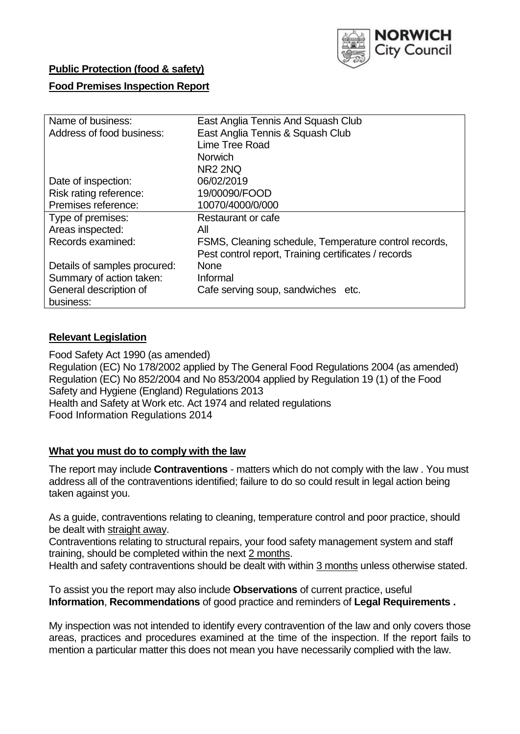

## **Public Protection (food & safety)**

#### **Food Premises Inspection Report**

| Name of business:            | East Anglia Tennis And Squash Club                    |  |  |  |  |  |
|------------------------------|-------------------------------------------------------|--|--|--|--|--|
| Address of food business:    | East Anglia Tennis & Squash Club                      |  |  |  |  |  |
|                              | Lime Tree Road                                        |  |  |  |  |  |
|                              | <b>Norwich</b>                                        |  |  |  |  |  |
|                              | <b>NR2 2NQ</b>                                        |  |  |  |  |  |
| Date of inspection:          | 06/02/2019                                            |  |  |  |  |  |
| Risk rating reference:       | 19/00090/FOOD                                         |  |  |  |  |  |
| Premises reference:          | 10070/4000/0/000                                      |  |  |  |  |  |
| Type of premises:            | Restaurant or cafe                                    |  |  |  |  |  |
| Areas inspected:             | All                                                   |  |  |  |  |  |
| Records examined:            | FSMS, Cleaning schedule, Temperature control records, |  |  |  |  |  |
|                              | Pest control report, Training certificates / records  |  |  |  |  |  |
| Details of samples procured: | <b>None</b>                                           |  |  |  |  |  |
| Summary of action taken:     | Informal                                              |  |  |  |  |  |
| General description of       | Cafe serving soup, sandwiches etc.                    |  |  |  |  |  |
| business:                    |                                                       |  |  |  |  |  |

#### **Relevant Legislation**

Food Safety Act 1990 (as amended) Regulation (EC) No 178/2002 applied by The General Food Regulations 2004 (as amended) Regulation (EC) No 852/2004 and No 853/2004 applied by Regulation 19 (1) of the Food Safety and Hygiene (England) Regulations 2013 Health and Safety at Work etc. Act 1974 and related regulations Food Information Regulations 2014

#### **What you must do to comply with the law**

The report may include **Contraventions** - matters which do not comply with the law . You must address all of the contraventions identified; failure to do so could result in legal action being taken against you.

As a guide, contraventions relating to cleaning, temperature control and poor practice, should be dealt with straight away.

Contraventions relating to structural repairs, your food safety management system and staff training, should be completed within the next 2 months.

Health and safety contraventions should be dealt with within 3 months unless otherwise stated.

To assist you the report may also include **Observations** of current practice, useful **Information**, **Recommendations** of good practice and reminders of **Legal Requirements .**

My inspection was not intended to identify every contravention of the law and only covers those areas, practices and procedures examined at the time of the inspection. If the report fails to mention a particular matter this does not mean you have necessarily complied with the law.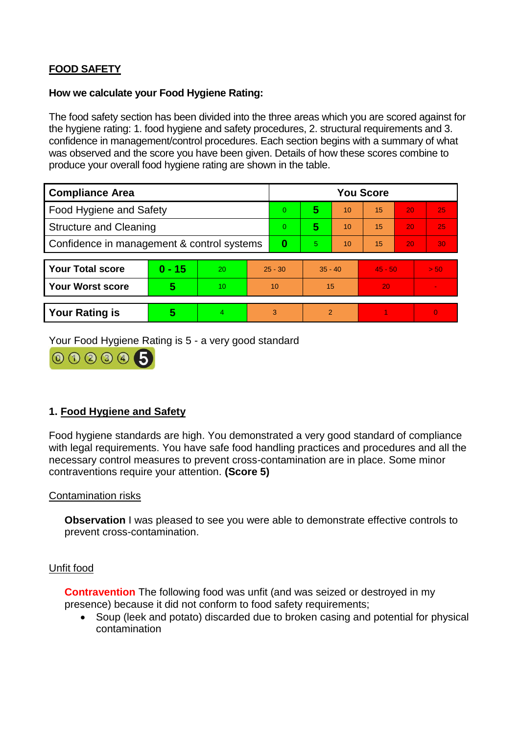# **FOOD SAFETY**

#### **How we calculate your Food Hygiene Rating:**

The food safety section has been divided into the three areas which you are scored against for the hygiene rating: 1. food hygiene and safety procedures, 2. structural requirements and 3. confidence in management/control procedures. Each section begins with a summary of what was observed and the score you have been given. Details of how these scores combine to produce your overall food hygiene rating are shown in the table.

| <b>Compliance Area</b>                     |          |    |           | <b>You Score</b> |                |    |           |    |          |  |  |
|--------------------------------------------|----------|----|-----------|------------------|----------------|----|-----------|----|----------|--|--|
| Food Hygiene and Safety                    |          |    |           | $\Omega$         | 5              | 10 | 15        | 20 | 25       |  |  |
| <b>Structure and Cleaning</b>              |          |    | $\Omega$  | 5                | 10             | 15 | 20        | 25 |          |  |  |
| Confidence in management & control systems |          |    | $\bf{0}$  | 5                | 10             | 15 | 20        | 30 |          |  |  |
|                                            |          |    |           |                  |                |    |           |    |          |  |  |
| <b>Your Total score</b>                    | $0 - 15$ | 20 | $25 - 30$ |                  | $35 - 40$      |    | $45 - 50$ |    | > 50     |  |  |
| <b>Your Worst score</b>                    | 5        | 10 | 10        |                  | 15             |    | 20        |    |          |  |  |
|                                            |          |    |           |                  |                |    |           |    |          |  |  |
| <b>Your Rating is</b>                      | 5        | 4  | 3         |                  | $\overline{2}$ |    |           |    | $\Omega$ |  |  |

Your Food Hygiene Rating is 5 - a very good standard



## **1. Food Hygiene and Safety**

Food hygiene standards are high. You demonstrated a very good standard of compliance with legal requirements. You have safe food handling practices and procedures and all the necessary control measures to prevent cross-contamination are in place. Some minor contraventions require your attention. **(Score 5)**

### Contamination risks

**Observation** I was pleased to see you were able to demonstrate effective controls to prevent cross-contamination.

#### Unfit food

**Contravention** The following food was unfit (and was seized or destroyed in my presence) because it did not conform to food safety requirements;

 Soup (leek and potato) discarded due to broken casing and potential for physical contamination